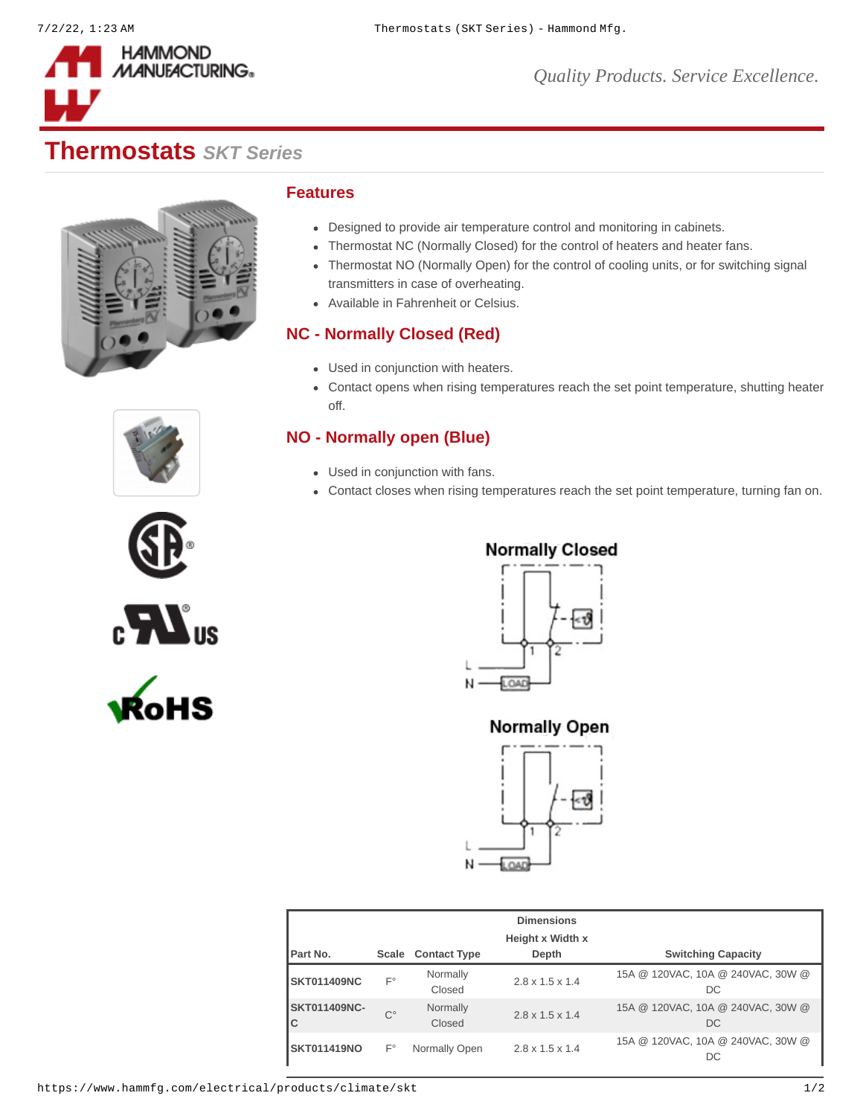

*Quality Products. Service Excellence.*

# **Thermostats** *SKT Series*











#### **Features**

- Designed to provide air temperature control and monitoring in cabinets.
- Thermostat NC (Normally Closed) for the control of heaters and heater fans.
- Thermostat NO (Normally Open) for the control of cooling units, or for switching signal transmitters in case of overheating.
- Available in Fahrenheit or Celsius.

### **NC - Normally Closed (Red)**

- Used in conjunction with heaters.
- Contact opens when rising temperatures reach the set point temperature, shutting heater off.

## **NO - Normally open (Blue)**

- Used in conjunction with fans.
- Contact closes when rising temperatures reach the set point temperature, turning fan on.



**Normally Open** 



| l Part No.                |                    | Scale Contact Type | <b>Dimensions</b><br><b>Height x Width x</b><br>Depth | <b>Switching Capacity</b>                |
|---------------------------|--------------------|--------------------|-------------------------------------------------------|------------------------------------------|
| <b>SKT011409NC</b>        | $\mathsf{F}^\circ$ | Normally<br>Closed | $2.8 \times 1.5 \times 1.4$                           | 15A @ 120VAC, 10A @ 240VAC, 30W @<br>DC. |
| <b>SKT011409NC-</b><br>١c | $C^{\circ}$        | Normally<br>Closed | $2.8 \times 1.5 \times 1.4$                           | 15A @ 120VAC, 10A @ 240VAC, 30W @<br>DC  |
| <b>SKT011419NO</b>        | $F^{\circ}$        | Normally Open      | $2.8 \times 1.5 \times 1.4$                           | 15A @ 120VAC, 10A @ 240VAC, 30W @<br>DC  |